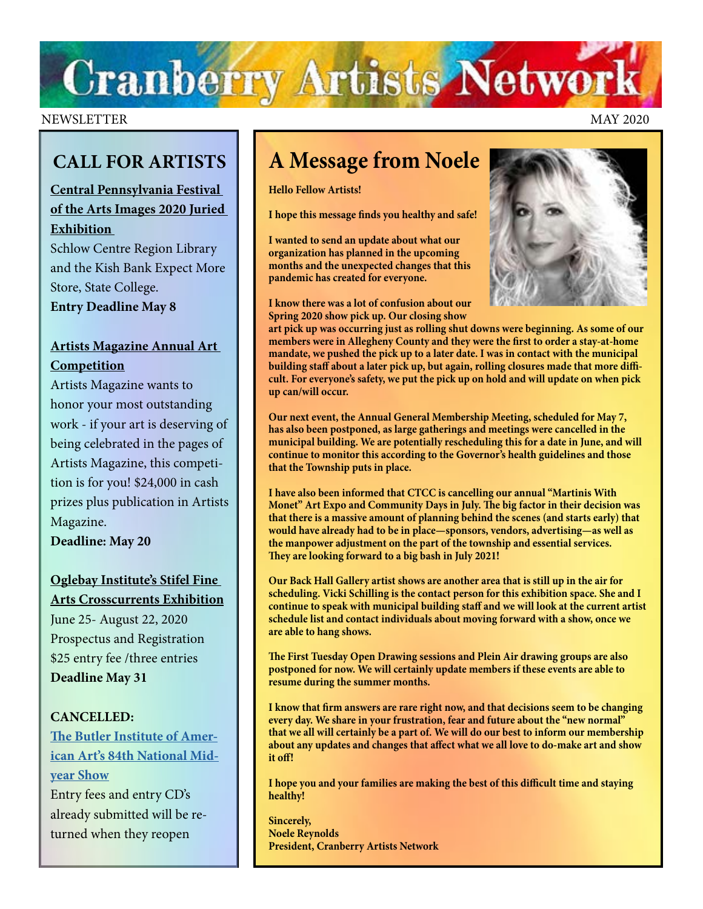# **Cranberry Artists Network**

#### NEWSLETTER MAY 2020

# **CALL FOR ARTISTS**

# **[Central Pennsylvania Festival](https://arts-festival.com/images-juried-exhibition)  [of the Arts Images 2020 Juried](https://arts-festival.com/images-juried-exhibition)  [Exhibition](https://arts-festival.com/images-juried-exhibition)**

Schlow Centre Region Library and the Kish Bank Expect More Store, State College. **Entry Deadline May 8** 

# **[Artists Magazine Annual Art](https://www.artistsnetwork.com/art-competitions/artists-magazine-annual/)  [Competition](https://www.artistsnetwork.com/art-competitions/artists-magazine-annual/)**

Artists Magazine wants to honor your most outstanding work - if your art is deserving of being celebrated in the pages of Artists Magazine, this competition is for you! \$24,000 in cash prizes plus publication in Artists Magazine.

**Deadline: May 20** 

# **[Oglebay Institute's Stifel Fine](https://oionline.com/stifel/crosscurrents/)  [Arts Crosscurrents Exhibition](https://oionline.com/stifel/crosscurrents/)**

June 25- August 22, 2020 Prospectus and Registration \$25 entry fee /three entries **Deadline May 31** 

### **CANCELLED:**

**[The Butler Institute of Amer](https://butlerart.com/art/national-midyear-show/)[ican Art's 84th National Mid](https://butlerart.com/art/national-midyear-show/)[year Show](https://butlerart.com/art/national-midyear-show/)** Entry fees and entry CD's already submitted will be returned when they reopen

# **A Message from Noele**

#### **Hello Fellow Artists!**

**I hope this message finds you healthy and safe!**

**I wanted to send an update about what our organization has planned in the upcoming months and the unexpected changes that this pandemic has created for everyone.**

**I know there was a lot of confusion about our Spring 2020 show pick up. Our closing show** 



**art pick up was occurring just as rolling shut downs were beginning. As some of our members were in Allegheny County and they were the first to order a stay-at-home mandate, we pushed the pick up to a later date. I was in contact with the municipal building staff about a later pick up, but again, rolling closures made that more difficult. For everyone's safety, we put the pick up on hold and will update on when pick up can/will occur.**

**Our next event, the Annual General Membership Meeting, scheduled for May 7, has also been postponed, as large gatherings and meetings were cancelled in the municipal building. We are potentially rescheduling this for a date in June, and will continue to monitor this according to the Governor's health guidelines and those that the Township puts in place.**

**I have also been informed that CTCC is cancelling our annual "Martinis With Monet" Art Expo and Community Days in July. The big factor in their decision was that there is a massive amount of planning behind the scenes (and starts early) that would have already had to be in place—sponsors, vendors, advertising—as well as the manpower adjustment on the part of the township and essential services. They are looking forward to a big bash in July 2021!**

**Our Back Hall Gallery artist shows are another area that is still up in the air for scheduling. Vicki Schilling is the contact person for this exhibition space. She and I continue to speak with municipal building staff and we will look at the current artist schedule list and contact individuals about moving forward with a show, once we are able to hang shows.**

**The First Tuesday Open Drawing sessions and Plein Air drawing groups are also postponed for now. We will certainly update members if these events are able to resume during the summer months.**

**I know that firm answers are rare right now, and that decisions seem to be changing every day. We share in your frustration, fear and future about the "new normal" that we all will certainly be a part of. We will do our best to inform our membership about any updates and changes that affect what we all love to do-make art and show it off!**

**I hope you and your families are making the best of this difficult time and staying healthy!**

**Sincerely, Noele Reynolds President, Cranberry Artists Network**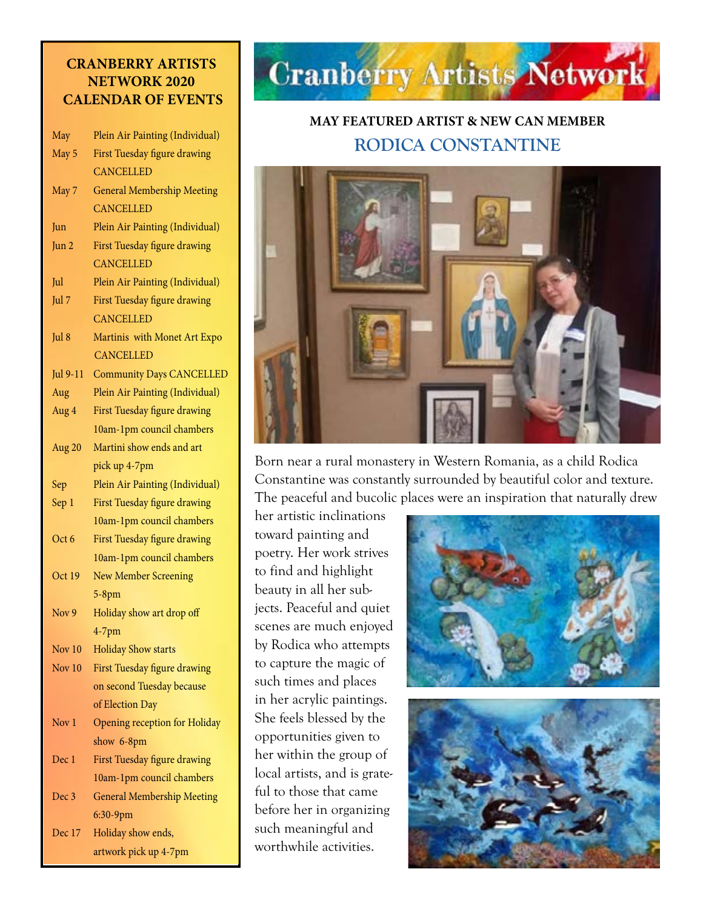## **CRANBERRY ARTISTS NETWORK 2020 CALENDAR OF EVENTS**

| May              | Plein Air Painting (Individual)   |
|------------------|-----------------------------------|
| May 5            | First Tuesday figure drawing      |
|                  | <b>CANCELLED</b>                  |
| May 7            | <b>General Membership Meeting</b> |
|                  | <b>CANCELLED</b>                  |
| Jun              | Plein Air Painting (Individual)   |
| Jun 2            | First Tuesday figure drawing      |
|                  | <b>CANCELLED</b>                  |
| Jul              | Plein Air Painting (Individual)   |
| Jul 7            | First Tuesday figure drawing      |
|                  | <b>CANCELLED</b>                  |
| Jul 8            | Martinis with Monet Art Expo      |
|                  | <b>CANCELLED</b>                  |
| Jul 9-11         | <b>Community Days CANCELLED</b>   |
| Aug              | Plein Air Painting (Individual)   |
| Aug 4            | First Tuesday figure drawing      |
|                  | 10am-1pm council chambers         |
| Aug 20           | Martini show ends and art         |
|                  | pick up 4-7pm                     |
| Sep              | Plein Air Painting (Individual)   |
| Sep 1            | First Tuesday figure drawing      |
|                  | 10am-1pm council chambers         |
| Oct 6            | First Tuesday figure drawing      |
|                  | 10am-1pm council chambers         |
| Oct 19           | <b>New Member Screening</b>       |
|                  | $5-8$ pm                          |
| Nov 9            | Holiday show art drop off         |
|                  | $4-7$ pm                          |
| Nov 10           | <b>Holiday Show starts</b>        |
| Nov $10$         | First Tuesday figure drawing      |
|                  | on second Tuesday because         |
|                  | of Election Day                   |
| Nov 1            | Opening reception for Holiday     |
|                  | show 6-8pm                        |
| Dec 1            | First Tuesday figure drawing      |
|                  | 10am-1pm council chambers         |
| Dec <sub>3</sub> | <b>General Membership Meeting</b> |
|                  | 6:30-9pm                          |
| Dec 17           | Holiday show ends,                |
|                  | artwork pick up 4-7pm             |

# **Cranberry Artists Network**

# **MAY FEATURED ARTIST & NEW CAN MEMBER RODICA CONSTANTINE**



Born near a rural monastery in Western Romania, as a child Rodica Constantine was constantly surrounded by beautiful color and texture. The peaceful and bucolic places were an inspiration that naturally drew

her artistic inclinations toward painting and poetry. Her work strives to find and highlight beauty in all her subjects. Peaceful and quiet scenes are much enjoyed by Rodica who attempts to capture the magic of such times and places in her acrylic paintings. She feels blessed by the opportunities given to her within the group of local artists, and is grateful to those that came before her in organizing such meaningful and worthwhile activities.



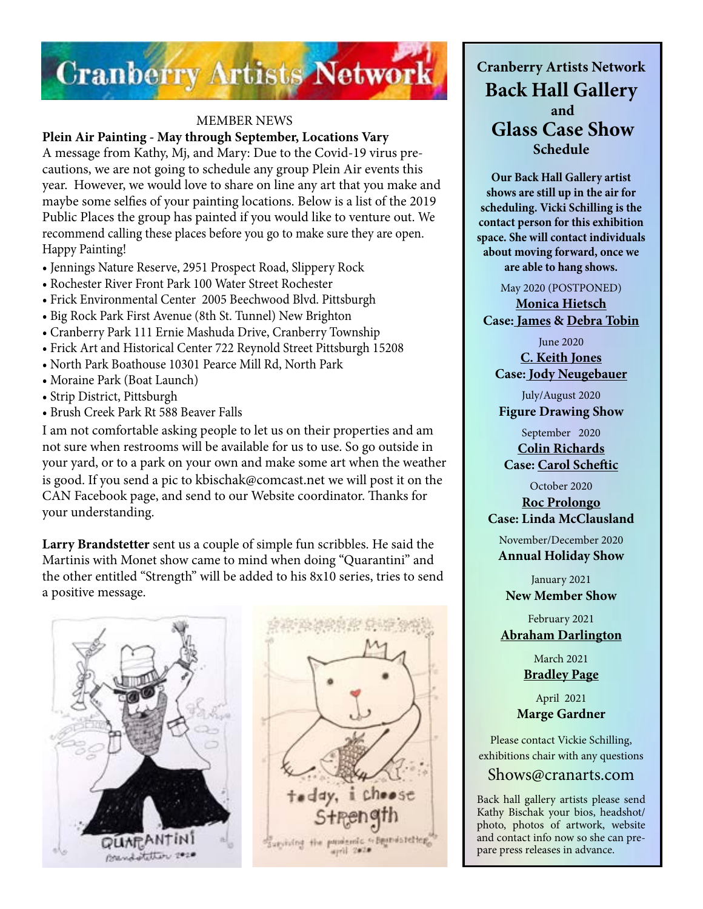

#### MEMBER NEWS

**Plein Air Painting - May through September, Locations Vary** 

A message from Kathy, Mj, and Mary: Due to the Covid-19 virus precautions, we are not going to schedule any group Plein Air events this year. However, we would love to share on line any art that you make and maybe some selfies of your painting locations. Below is a list of the 2019 Public Places the group has painted if you would like to venture out. We recommend calling these places before you go to make sure they are open. Happy Painting!

- Jennings Nature Reserve, 2951 Prospect Road, Slippery Rock
- Rochester River Front Park 100 Water Street Rochester
- Frick Environmental Center 2005 Beechwood Blvd. Pittsburgh
- Big Rock Park First Avenue (8th St. Tunnel) New Brighton
- Cranberry Park 111 Ernie Mashuda Drive, Cranberry Township
- Frick Art and Historical Center 722 Reynold Street Pittsburgh 15208
- North Park Boathouse 10301 Pearce Mill Rd, North Park
- Moraine Park (Boat Launch)
- Strip District, Pittsburgh
- Brush Creek Park Rt 588 Beaver Falls

I am not comfortable asking people to let us on their properties and am not sure when restrooms will be available for us to use. So go outside in your yard, or to a park on your own and make some art when the weather is good. If you send a pic to kbischak@comcast.net we will post it on the CAN Facebook page, and send to our Website coordinator. Thanks for your understanding.

**Larry Brandstetter** sent us a couple of simple fun scribbles. He said the Martinis with Monet show came to mind when doing "Quarantini" and the other entitled "Strength" will be added to his 8x10 series, tries to send a positive message.





**Cranberry Artists Network Back Hall Gallery and Glass Case Show Schedule** 

**Our Back Hall Gallery artist shows are still up in the air for scheduling. Vicki Schilling is the contact person for this exhibition space. She will contact individuals about moving forward, once we are able to hang shows.**

May 2020 (POSTPONED)

**[Monica Hietsch](https://www.monicahietsch.com/) Case: [James](http://www.jamestobinart.com) & [Debra Tobin](http://www.debratobinart.com)**

> June 2020 **[C. Keith Jones](http://ckeithjonesartist.com/)**

**Case: [Jody Neugebauer](https://dream-queststudio.blogspot.com/)** July/August 2020

**Figure Drawing Show**

September 2020 **[Colin Richards](https://www.colinrichardsart.com/) Case: [Carol Scheftic](http://convergentseries.com/)**

October 2020

**[Roc Prolongo](https://www.rocprologo.com/) Case: Linda McClausland**

November/December 2020 **Annual Holiday Show**

January 2021 **New Member Show**

February 2021 **[Abraham Darlington](https://www.facebook.com/abraham.darlington)**

> March 2021 **[Bradley Page](https://fireandfumes.com/)**

April 2021 **Marge Gardner**

Please contact Vickie Schilling, exhibitions chair with any questions

### Shows@cranarts.com

Back hall gallery artists please send Kathy Bischak your bios, headshot/ photo, photos of artwork, website and contact info now so she can prepare press releases in advance.